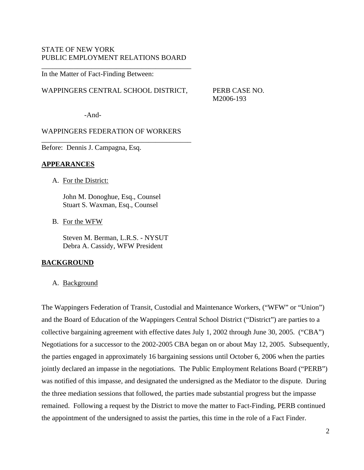## STATE OF NEW YORK PUBLIC EMPLOYMENT RELATIONS BOARD

\_\_\_\_\_\_\_\_\_\_\_\_\_\_\_\_\_\_\_\_\_\_\_\_\_\_\_\_\_\_\_\_\_\_\_\_\_\_\_\_\_\_

In the Matter of Fact-Finding Between:

#### WAPPINGERS CENTRAL SCHOOL DISTRICT, PERB CASE NO.

M2006-193

-And-

## WAPPINGERS FEDERATION OF WORKERS

\_\_\_\_\_\_\_\_\_\_\_\_\_\_\_\_\_\_\_\_\_\_\_\_\_\_\_\_\_\_\_\_\_\_\_\_\_\_\_\_\_\_

Before: Dennis J. Campagna, Esq.

#### **APPEARANCES**

A. For the District:

John M. Donoghue, Esq., Counsel Stuart S. Waxman, Esq., Counsel

B. For the WFW

Steven M. Berman, L.R.S. - NYSUT Debra A. Cassidy, WFW President

## **BACKGROUND**

#### A. Background

The Wappingers Federation of Transit, Custodial and Maintenance Workers, ("WFW" or "Union") and the Board of Education of the Wappingers Central School District ("District") are parties to a collective bargaining agreement with effective dates July 1, 2002 through June 30, 2005. ("CBA") Negotiations for a successor to the 2002-2005 CBA began on or about May 12, 2005. Subsequently, the parties engaged in approximately 16 bargaining sessions until October 6, 2006 when the parties jointly declared an impasse in the negotiations. The Public Employment Relations Board ("PERB") was notified of this impasse, and designated the undersigned as the Mediator to the dispute. During the three mediation sessions that followed, the parties made substantial progress but the impasse remained. Following a request by the District to move the matter to Fact-Finding, PERB continued the appointment of the undersigned to assist the parties, this time in the role of a Fact Finder.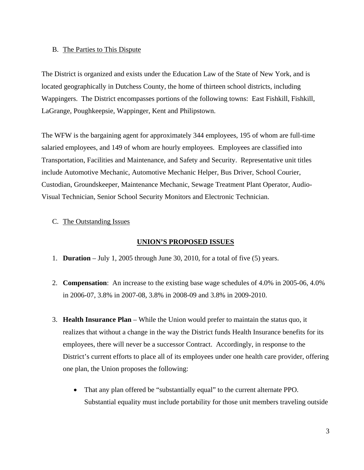## B. The Parties to This Dispute

The District is organized and exists under the Education Law of the State of New York, and is located geographically in Dutchess County, the home of thirteen school districts, including Wappingers. The District encompasses portions of the following towns: East Fishkill, Fishkill, LaGrange, Poughkeepsie, Wappinger, Kent and Philipstown.

The WFW is the bargaining agent for approximately 344 employees, 195 of whom are full-time salaried employees, and 149 of whom are hourly employees. Employees are classified into Transportation, Facilities and Maintenance, and Safety and Security. Representative unit titles include Automotive Mechanic, Automotive Mechanic Helper, Bus Driver, School Courier, Custodian, Groundskeeper, Maintenance Mechanic, Sewage Treatment Plant Operator, Audio-Visual Technician, Senior School Security Monitors and Electronic Technician.

## C. The Outstanding Issues

#### **UNION'S PROPOSED ISSUES**

- 1. **Duration** July 1, 2005 through June 30, 2010, for a total of five (5) years.
- 2. **Compensation**: An increase to the existing base wage schedules of 4.0% in 2005-06, 4.0% in 2006-07, 3.8% in 2007-08, 3.8% in 2008-09 and 3.8% in 2009-2010.
- 3. **Health Insurance Plan** While the Union would prefer to maintain the status quo, it realizes that without a change in the way the District funds Health Insurance benefits for its employees, there will never be a successor Contract. Accordingly, in response to the District's current efforts to place all of its employees under one health care provider, offering one plan, the Union proposes the following:
	- That any plan offered be "substantially equal" to the current alternate PPO. Substantial equality must include portability for those unit members traveling outside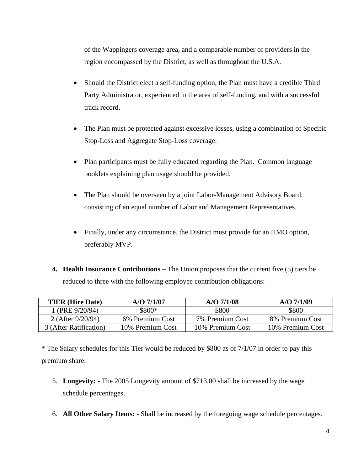of the Wappingers coverage area, and a comparable number of providers in the region encompassed by the District, as well as throughout the U.S.A.

- Should the District elect a self-funding option, the Plan must have a credible Third Party Administrator, experienced in the area of self-funding, and with a successful track record.
- The Plan must be protected against excessive losses, using a combination of Specific Stop-Loss and Aggregate Stop-Loss coverage.
- Plan participants must be fully educated regarding the Plan. Common language booklets explaining plan usage should be provided.
- The Plan should be overseen by a joint Labor-Management Advisory Board, consisting of an equal number of Labor and Management Representatives.
- Finally, under any circumstance, the District must provide for an HMO option, preferably MVP.
- **4. Health Insurance Contributions** The Union proposes that the current five (5) tiers be reduced to three with the following employee contribution obligations:

| <b>TIER</b> (Hire Date) | $A/O$ 7/1/07     | $A/O$ 7/1/08                       | $A/O$ 7/1/09     |  |
|-------------------------|------------------|------------------------------------|------------------|--|
| 1 (PRE 9/20/94)         | \$800*           | \$800                              | \$800            |  |
| 2 (After 9/20/94)       | 6% Premium Cost  | 8% Premium Cost<br>7% Premium Cost |                  |  |
| 3 (After Ratification)  | 10% Premium Cost |                                    | 10% Premium Cost |  |

\* The Salary schedules for this Tier would be reduced by \$800 as of 7/1/07 in order to pay this premium share.

- 5. **Longevity:** The 2005 Longevity amount of \$713.00 shall be increased by the wage schedule percentages.
- 6. **All Other Salary Items:** Shall be increased by the foregoing wage schedule percentages.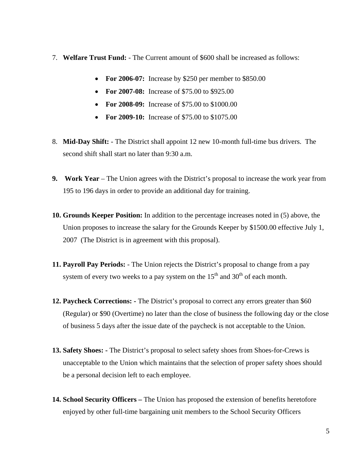- 7. **Welfare Trust Fund:** The Current amount of \$600 shall be increased as follows:
	- **For 2006-07:** Increase by \$250 per member to \$850.00
	- **For 2007-08:** Increase of \$75.00 to \$925.00
	- **For 2008-09:** Increase of \$75.00 to \$1000.00
	- **For 2009-10:** Increase of \$75.00 to \$1075.00
- 8. **Mid-Day Shift:** The District shall appoint 12 new 10-month full-time bus drivers. The second shift shall start no later than 9:30 a.m.
- **9. Work Year** The Union agrees with the District's proposal to increase the work year from 195 to 196 days in order to provide an additional day for training.
- **10. Grounds Keeper Position:** In addition to the percentage increases noted in (5) above, the Union proposes to increase the salary for the Grounds Keeper by \$1500.00 effective July 1, 2007 (The District is in agreement with this proposal).
- **11. Payroll Pay Periods:** The Union rejects the District's proposal to change from a pay system of every two weeks to a pay system on the  $15<sup>th</sup>$  and  $30<sup>th</sup>$  of each month.
- **12. Paycheck Corrections:** The District's proposal to correct any errors greater than \$60 (Regular) or \$90 (Overtime) no later than the close of business the following day or the close of business 5 days after the issue date of the paycheck is not acceptable to the Union.
- **13. Safety Shoes:** The District's proposal to select safety shoes from Shoes-for-Crews is unacceptable to the Union which maintains that the selection of proper safety shoes should be a personal decision left to each employee.
- **14. School Security Officers** The Union has proposed the extension of benefits heretofore enjoyed by other full-time bargaining unit members to the School Security Officers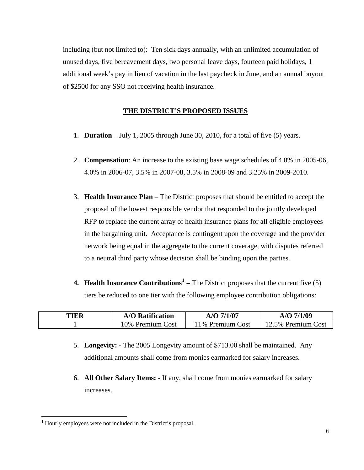including (but not limited to): Ten sick days annually, with an unlimited accumulation of unused days, five bereavement days, two personal leave days, fourteen paid holidays, 1 additional week's pay in lieu of vacation in the last paycheck in June, and an annual buyout of \$2500 for any SSO not receiving health insurance.

## **THE DISTRICT'S PROPOSED ISSUES**

- 1. **Duration** July 1, 2005 through June 30, 2010, for a total of five (5) years.
- 2. **Compensation**: An increase to the existing base wage schedules of 4.0% in 2005-06, 4.0% in 2006-07, 3.5% in 2007-08, 3.5% in 2008-09 and 3.25% in 2009-2010.
- 3. **Health Insurance Plan** The District proposes that should be entitled to accept the proposal of the lowest responsible vendor that responded to the jointly developed RFP to replace the current array of health insurance plans for all eligible employees in the bargaining unit. Acceptance is contingent upon the coverage and the provider network being equal in the aggregate to the current coverage, with disputes referred to a neutral third party whose decision shall be binding upon the parties.
- **4. Health Insurance Contributions<sup>[1](#page-4-0)</sup>** The District proposes that the current five (5) tiers be reduced to one tier with the following employee contribution obligations:

| TIER | <b>A/O Ratification</b> | $A/O$ 7/1/07     | A/O 7/1/09         |  |
|------|-------------------------|------------------|--------------------|--|
|      | 10% Premium Cost        | 11% Premium Cost | 12.5% Premium Cost |  |

- 5. **Longevity:** The 2005 Longevity amount of \$713.00 shall be maintained. Any additional amounts shall come from monies earmarked for salary increases.
- 6. **All Other Salary Items:** If any, shall come from monies earmarked for salary increases.

 $\overline{a}$ 

<span id="page-4-0"></span><sup>&</sup>lt;sup>1</sup> Hourly employees were not included in the District's proposal.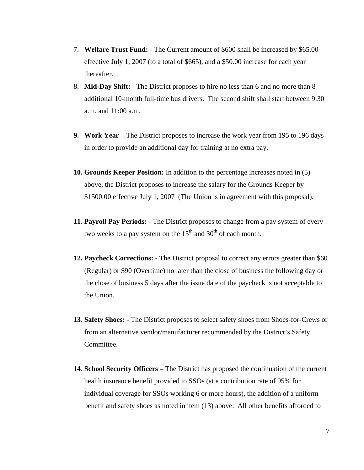- 7. **Welfare Trust Fund:** The Current amount of \$600 shall be increased by \$65.00 effective July 1, 2007 (to a total of \$665), and a \$50.00 increase for each year thereafter.
- 8. **Mid-Day Shift:** The District proposes to hire no less than 6 and no more than 8 additional 10-month full-time bus drivers. The second shift shall start between 9:30 a.m. and 11:00 a.m.
- **9. Work Year** The District proposes to increase the work year from 195 to 196 days in order to provide an additional day for training at no extra pay.
- **10. Grounds Keeper Position:** In addition to the percentage increases noted in (5) above, the District proposes to increase the salary for the Grounds Keeper by \$1500.00 effective July 1, 2007 (The Union is in agreement with this proposal).
- **11. Payroll Pay Periods:** The District proposes to change from a pay system of every two weeks to a pay system on the  $15<sup>th</sup>$  and  $30<sup>th</sup>$  of each month.
- **12. Paycheck Corrections:** The District proposal to correct any errors greater than \$60 (Regular) or \$90 (Overtime) no later than the close of business the following day or the close of business 5 days after the issue date of the paycheck is not acceptable to the Union.
- **13. Safety Shoes:** The District proposes to select safety shoes from Shoes-for-Crews or from an alternative vendor/manufacturer recommended by the District's Safety Committee.
- **14. School Security Officers** The District has proposed the continuation of the current health insurance benefit provided to SSOs (at a contribution rate of 95% for individual coverage for SSOs working 6 or more hours), the addition of a uniform benefit and safety shoes as noted in item (13) above. All other benefits afforded to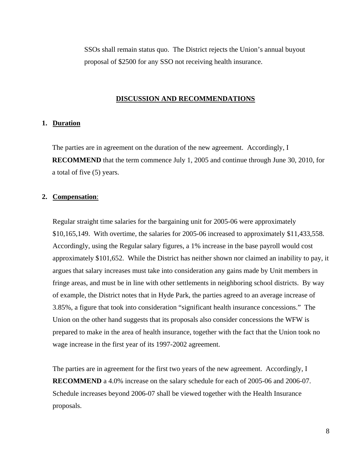SSOs shall remain status quo. The District rejects the Union's annual buyout proposal of \$2500 for any SSO not receiving health insurance.

#### **DISCUSSION AND RECOMMENDATIONS**

## **1. Duration**

The parties are in agreement on the duration of the new agreement. Accordingly, I **RECOMMEND** that the term commence July 1, 2005 and continue through June 30, 2010, for a total of five (5) years.

#### **2. Compensation**:

Regular straight time salaries for the bargaining unit for 2005-06 were approximately \$10,165,149. With overtime, the salaries for 2005-06 increased to approximately \$11,433,558. Accordingly, using the Regular salary figures, a 1% increase in the base payroll would cost approximately \$101,652. While the District has neither shown nor claimed an inability to pay, it argues that salary increases must take into consideration any gains made by Unit members in fringe areas, and must be in line with other settlements in neighboring school districts. By way of example, the District notes that in Hyde Park, the parties agreed to an average increase of 3.85%, a figure that took into consideration "significant health insurance concessions." The Union on the other hand suggests that its proposals also consider concessions the WFW is prepared to make in the area of health insurance, together with the fact that the Union took no wage increase in the first year of its 1997-2002 agreement.

The parties are in agreement for the first two years of the new agreement. Accordingly, I **RECOMMEND** a 4.0% increase on the salary schedule for each of 2005-06 and 2006-07. Schedule increases beyond 2006-07 shall be viewed together with the Health Insurance proposals.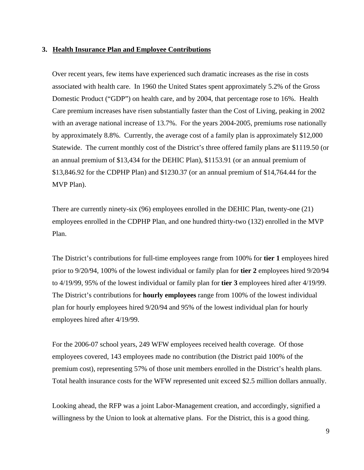#### **3. Health Insurance Plan and Employee Contributions**

Over recent years, few items have experienced such dramatic increases as the rise in costs associated with health care. In 1960 the United States spent approximately 5.2% of the Gross Domestic Product ("GDP") on health care, and by 2004, that percentage rose to 16%. Health Care premium increases have risen substantially faster than the Cost of Living, peaking in 2002 with an average national increase of 13.7%. For the years 2004-2005, premiums rose nationally by approximately 8.8%. Currently, the average cost of a family plan is approximately \$12,000 Statewide. The current monthly cost of the District's three offered family plans are \$1119.50 (or an annual premium of \$13,434 for the DEHIC Plan), \$1153.91 (or an annual premium of \$13,846.92 for the CDPHP Plan) and \$1230.37 (or an annual premium of \$14,764.44 for the MVP Plan).

There are currently ninety-six (96) employees enrolled in the DEHIC Plan, twenty-one (21) employees enrolled in the CDPHP Plan, and one hundred thirty-two (132) enrolled in the MVP Plan.

The District's contributions for full-time employees range from 100% for **tier 1** employees hired prior to 9/20/94, 100% of the lowest individual or family plan for **tier 2** employees hired 9/20/94 to 4/19/99, 95% of the lowest individual or family plan for **tier 3** employees hired after 4/19/99. The District's contributions for **hourly employees** range from 100% of the lowest individual plan for hourly employees hired 9/20/94 and 95% of the lowest individual plan for hourly employees hired after 4/19/99.

For the 2006-07 school years, 249 WFW employees received health coverage. Of those employees covered, 143 employees made no contribution (the District paid 100% of the premium cost), representing 57% of those unit members enrolled in the District's health plans. Total health insurance costs for the WFW represented unit exceed \$2.5 million dollars annually.

Looking ahead, the RFP was a joint Labor-Management creation, and accordingly, signified a willingness by the Union to look at alternative plans. For the District, this is a good thing.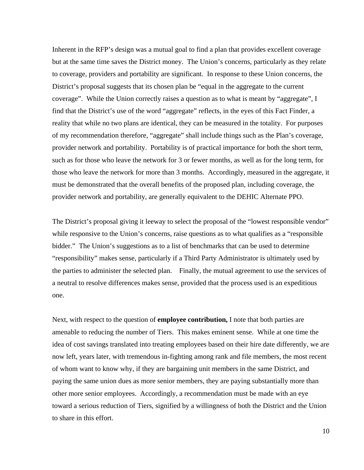Inherent in the RFP's design was a mutual goal to find a plan that provides excellent coverage but at the same time saves the District money. The Union's concerns, particularly as they relate to coverage, providers and portability are significant. In response to these Union concerns, the District's proposal suggests that its chosen plan be "equal in the aggregate to the current coverage". While the Union correctly raises a question as to what is meant by "aggregate", I find that the District's use of the word "aggregate" reflects, in the eyes of this Fact Finder, a reality that while no two plans are identical, they can be measured in the totality. For purposes of my recommendation therefore, "aggregate" shall include things such as the Plan's coverage, provider network and portability. Portability is of practical importance for both the short term, such as for those who leave the network for 3 or fewer months, as well as for the long term, for those who leave the network for more than 3 months. Accordingly, measured in the aggregate, it must be demonstrated that the overall benefits of the proposed plan, including coverage, the provider network and portability, are generally equivalent to the DEHIC Alternate PPO.

The District's proposal giving it leeway to select the proposal of the "lowest responsible vendor" while responsive to the Union's concerns, raise questions as to what qualifies as a "responsible" bidder." The Union's suggestions as to a list of benchmarks that can be used to determine "responsibility" makes sense, particularly if a Third Party Administrator is ultimately used by the parties to administer the selected plan. Finally, the mutual agreement to use the services of a neutral to resolve differences makes sense, provided that the process used is an expeditious one.

Next, with respect to the question of **employee contribution,** I note that both parties are amenable to reducing the number of Tiers. This makes eminent sense. While at one time the idea of cost savings translated into treating employees based on their hire date differently, we are now left, years later, with tremendous in-fighting among rank and file members, the most recent of whom want to know why, if they are bargaining unit members in the same District, and paying the same union dues as more senior members, they are paying substantially more than other more senior employees. Accordingly, a recommendation must be made with an eye toward a serious reduction of Tiers, signified by a willingness of both the District and the Union to share in this effort.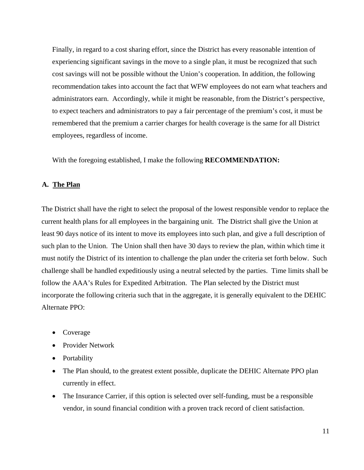Finally, in regard to a cost sharing effort, since the District has every reasonable intention of experiencing significant savings in the move to a single plan, it must be recognized that such cost savings will not be possible without the Union's cooperation. In addition, the following recommendation takes into account the fact that WFW employees do not earn what teachers and administrators earn. Accordingly, while it might be reasonable, from the District's perspective, to expect teachers and administrators to pay a fair percentage of the premium's cost, it must be remembered that the premium a carrier charges for health coverage is the same for all District employees, regardless of income.

With the foregoing established, I make the following **RECOMMENDATION:**

## **A. The Plan**

The District shall have the right to select the proposal of the lowest responsible vendor to replace the current health plans for all employees in the bargaining unit. The District shall give the Union at least 90 days notice of its intent to move its employees into such plan, and give a full description of such plan to the Union. The Union shall then have 30 days to review the plan, within which time it must notify the District of its intention to challenge the plan under the criteria set forth below. Such challenge shall be handled expeditiously using a neutral selected by the parties. Time limits shall be follow the AAA's Rules for Expedited Arbitration. The Plan selected by the District must incorporate the following criteria such that in the aggregate, it is generally equivalent to the DEHIC Alternate PPO:

- Coverage
- Provider Network
- Portability
- The Plan should, to the greatest extent possible, duplicate the DEHIC Alternate PPO plan currently in effect.
- The Insurance Carrier, if this option is selected over self-funding, must be a responsible vendor, in sound financial condition with a proven track record of client satisfaction.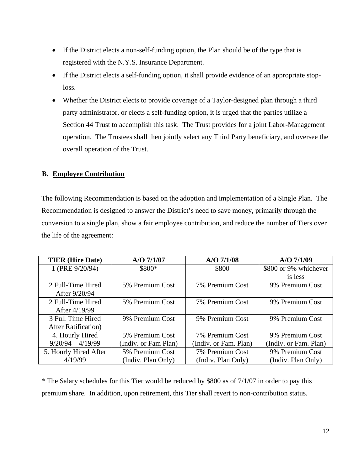- If the District elects a non-self-funding option, the Plan should be of the type that is registered with the N.Y.S. Insurance Department.
- If the District elects a self-funding option, it shall provide evidence of an appropriate stoploss.
- Whether the District elects to provide coverage of a Taylor-designed plan through a third party administrator, or elects a self-funding option, it is urged that the parties utilize a Section 44 Trust to accomplish this task. The Trust provides for a joint Labor-Management operation. The Trustees shall then jointly select any Third Party beneficiary, and oversee the overall operation of the Trust.

## **B. Employee Contribution**

The following Recommendation is based on the adoption and implementation of a Single Plan. The Recommendation is designed to answer the District's need to save money, primarily through the conversion to a single plan, show a fair employee contribution, and reduce the number of Tiers over the life of the agreement:

| <b>TIER</b> (Hire Date)     | $A/O$ 7/1/07                       | $A/O$ 7/1/08          | $A/O$ 7/1/09          |
|-----------------------------|------------------------------------|-----------------------|-----------------------|
| 1 (PRE 9/20/94)             | \$800*                             | \$800                 | \$800 or 9% whichever |
|                             |                                    |                       | is less               |
| 2 Full-Time Hired           | 5% Premium Cost<br>7% Premium Cost |                       | 9% Premium Cost       |
| After 9/20/94               |                                    |                       |                       |
| 2 Full-Time Hired           | 5% Premium Cost                    | 7% Premium Cost       | 9% Premium Cost       |
| After 4/19/99               |                                    |                       |                       |
| 3 Full Time Hired           | 9% Premium Cost                    | 9% Premium Cost       | 9% Premium Cost       |
| <b>After Ratification</b> ) |                                    |                       |                       |
| 4. Hourly Hired             | 5% Premium Cost                    | 7% Premium Cost       | 9% Premium Cost       |
| $9/20/94 - 4/19/99$         | (Indiv. or Fam Plan)               | (Indiv. or Fam. Plan) | (Indiv. or Fam. Plan) |
| 5. Hourly Hired After       | 5% Premium Cost                    | 7% Premium Cost       | 9% Premium Cost       |
| 4/19/99                     | (Indiv. Plan Only)                 | (Indiv. Plan Only)    | (Indiv. Plan Only)    |

\* The Salary schedules for this Tier would be reduced by \$800 as of 7/1/07 in order to pay this premium share. In addition, upon retirement, this Tier shall revert to non-contribution status.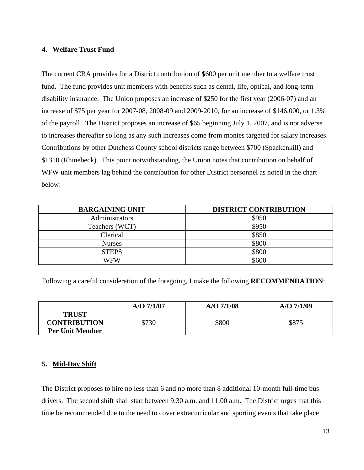## **4. Welfare Trust Fund**

The current CBA provides for a District contribution of \$600 per unit member to a welfare trust fund. The fund provides unit members with benefits such as dental, life, optical, and long-term disability insurance. The Union proposes an increase of \$250 for the first year (2006-07) and an increase of \$75 per year for 2007-08, 2008-09 and 2009-2010, for an increase of \$146,000, or 1.3% of the payroll. The District proposes an increase of \$65 beginning July 1, 2007, and is not adverse to increases thereafter so long as any such increases come from monies targeted for salary increases. Contributions by other Dutchess County school districts range between \$700 (Spackenkill) and \$1310 (Rhinebeck). This point notwithstanding, the Union notes that contribution on behalf of WFW unit members lag behind the contribution for other District personnel as noted in the chart below:

| <b>BARGAINING UNIT</b> | <b>DISTRICT CONTRIBUTION</b> |
|------------------------|------------------------------|
| Administrators         | \$950                        |
| Teachers (WCT)         | \$950                        |
| Clerical               | \$850                        |
| <b>Nurses</b>          | \$800                        |
| <b>STEPS</b>           | \$800                        |
| WFW                    | \$600                        |

Following a careful consideration of the foregoing, I make the following **RECOMMENDATION**:

|                                                               | $A/O$ 7/1/07 | $A/O$ 7/1/08 | $A/O$ 7/1/09 |
|---------------------------------------------------------------|--------------|--------------|--------------|
| <b>TRUST</b><br><b>CONTRIBUTION</b><br><b>Per Unit Member</b> | \$730        | \$800        | \$875        |

# **5. Mid-Day Shift**

The District proposes to hire no less than 6 and no more than 8 additional 10-month full-time bus drivers. The second shift shall start between 9:30 a.m. and 11:00 a.m. The District urges that this time be recommended due to the need to cover extracurricular and sporting events that take place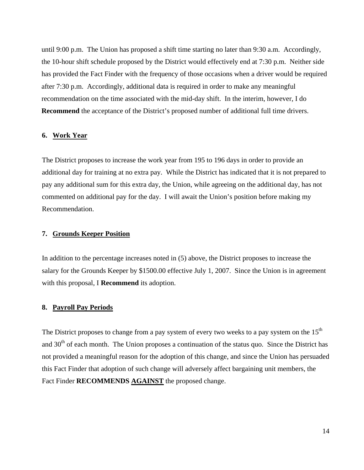until 9:00 p.m. The Union has proposed a shift time starting no later than 9:30 a.m. Accordingly, the 10-hour shift schedule proposed by the District would effectively end at 7:30 p.m. Neither side has provided the Fact Finder with the frequency of those occasions when a driver would be required after 7:30 p.m. Accordingly, additional data is required in order to make any meaningful recommendation on the time associated with the mid-day shift. In the interim, however, I do **Recommend** the acceptance of the District's proposed number of additional full time drivers.

## **6. Work Year**

The District proposes to increase the work year from 195 to 196 days in order to provide an additional day for training at no extra pay. While the District has indicated that it is not prepared to pay any additional sum for this extra day, the Union, while agreeing on the additional day, has not commented on additional pay for the day. I will await the Union's position before making my Recommendation.

#### **7. Grounds Keeper Position**

In addition to the percentage increases noted in (5) above, the District proposes to increase the salary for the Grounds Keeper by \$1500.00 effective July 1, 2007. Since the Union is in agreement with this proposal, I **Recommend** its adoption.

#### **8. Payroll Pay Periods**

The District proposes to change from a pay system of every two weeks to a pay system on the  $15<sup>th</sup>$ and 30<sup>th</sup> of each month. The Union proposes a continuation of the status quo. Since the District has not provided a meaningful reason for the adoption of this change, and since the Union has persuaded this Fact Finder that adoption of such change will adversely affect bargaining unit members, the Fact Finder **RECOMMENDS AGAINST** the proposed change.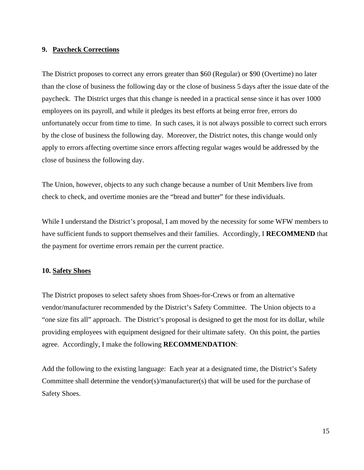## **9. Paycheck Corrections**

The District proposes to correct any errors greater than \$60 (Regular) or \$90 (Overtime) no later than the close of business the following day or the close of business 5 days after the issue date of the paycheck. The District urges that this change is needed in a practical sense since it has over 1000 employees on its payroll, and while it pledges its best efforts at being error free, errors do unfortunately occur from time to time. In such cases, it is not always possible to correct such errors by the close of business the following day. Moreover, the District notes, this change would only apply to errors affecting overtime since errors affecting regular wages would be addressed by the close of business the following day.

The Union, however, objects to any such change because a number of Unit Members live from check to check, and overtime monies are the "bread and butter" for these individuals.

While I understand the District's proposal, I am moved by the necessity for some WFW members to have sufficient funds to support themselves and their families. Accordingly, I **RECOMMEND** that the payment for overtime errors remain per the current practice.

## **10. Safety Shoes**

The District proposes to select safety shoes from Shoes-for-Crews or from an alternative vendor/manufacturer recommended by the District's Safety Committee. The Union objects to a "one size fits all" approach. The District's proposal is designed to get the most for its dollar, while providing employees with equipment designed for their ultimate safety. On this point, the parties agree. Accordingly, I make the following **RECOMMENDATION**:

Add the following to the existing language: Each year at a designated time, the District's Safety Committee shall determine the vendor(s)/manufacturer(s) that will be used for the purchase of Safety Shoes.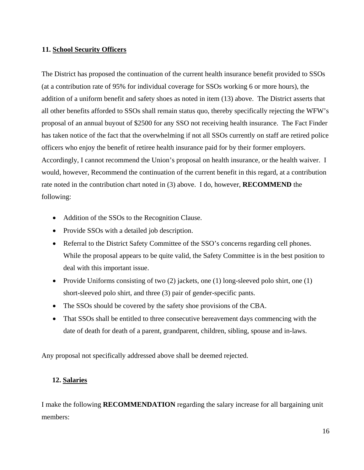## **11. School Security Officers**

The District has proposed the continuation of the current health insurance benefit provided to SSOs (at a contribution rate of 95% for individual coverage for SSOs working 6 or more hours), the addition of a uniform benefit and safety shoes as noted in item (13) above. The District asserts that all other benefits afforded to SSOs shall remain status quo, thereby specifically rejecting the WFW's proposal of an annual buyout of \$2500 for any SSO not receiving health insurance. The Fact Finder has taken notice of the fact that the overwhelming if not all SSOs currently on staff are retired police officers who enjoy the benefit of retiree health insurance paid for by their former employers. Accordingly, I cannot recommend the Union's proposal on health insurance, or the health waiver. I would, however, Recommend the continuation of the current benefit in this regard, at a contribution rate noted in the contribution chart noted in (3) above. I do, however, **RECOMMEND** the following:

- Addition of the SSOs to the Recognition Clause.
- Provide SSOs with a detailed job description.
- Referral to the District Safety Committee of the SSO's concerns regarding cell phones. While the proposal appears to be quite valid, the Safety Committee is in the best position to deal with this important issue.
- Provide Uniforms consisting of two (2) jackets, one (1) long-sleeved polo shirt, one (1) short-sleeved polo shirt, and three (3) pair of gender-specific pants.
- The SSOs should be covered by the safety shoe provisions of the CBA.
- That SSOs shall be entitled to three consecutive bereavement days commencing with the date of death for death of a parent, grandparent, children, sibling, spouse and in-laws.

Any proposal not specifically addressed above shall be deemed rejected.

# **12. Salaries**

I make the following **RECOMMENDATION** regarding the salary increase for all bargaining unit members: